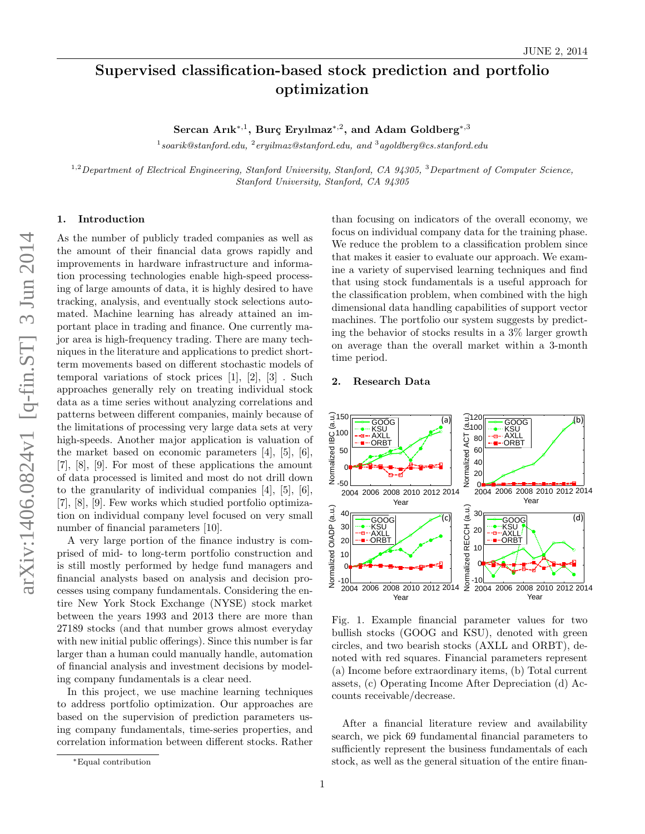# Supervised classification-based stock prediction and portfolio optimization

Sercan Arık $^{*,1}$ , Burç Eryılmaz $^{*,2}$ , and Adam Goldberg $^{*,3}$ 

 $^1$ soarik@stanford.edu,  $^2$ eryilmaz@stanford.edu, and  $^3$ agoldberg@cs.stanford.edu

 $1.2$ Department of Electrical Engineering, Stanford University, Stanford, CA 94305,  $3$ Department of Computer Science, Stanford University, Stanford, CA 94305

#### 1. Introduction

As the number of publicly traded companies as well as the amount of their financial data grows rapidly and improvements in hardware infrastructure and information processing technologies enable high-speed processing of large amounts of data, it is highly desired to have tracking, analysis, and eventually stock selections automated. Machine learning has already attained an important place in trading and finance. One currently major area is high-frequency trading. There are many techniques in the literature and applications to predict shortterm movements based on different stochastic models of temporal variations of stock prices [1], [2], [3] . Such approaches generally rely on treating individual stock data as a time series without analyzing correlations and patterns between different companies, mainly because of the limitations of processing very large data sets at very high-speeds. Another major application is valuation of the market based on economic parameters [4], [5], [6], [7], [8], [9]. For most of these applications the amount of data processed is limited and most do not drill down to the granularity of individual companies [4], [5], [6], [7], [8], [9]. Few works which studied portfolio optimization on individual company level focused on very small number of financial parameters [10].

A very large portion of the finance industry is comprised of mid- to long-term portfolio construction and is still mostly performed by hedge fund managers and financial analysts based on analysis and decision processes using company fundamentals. Considering the entire New York Stock Exchange (NYSE) stock market between the years 1993 and 2013 there are more than 27189 stocks (and that number grows almost everyday with new initial public offerings). Since this number is far larger than a human could manually handle, automation of financial analysis and investment decisions by modeling company fundamentals is a clear need.

In this project, we use machine learning techniques to address portfolio optimization. Our approaches are based on the supervision of prediction parameters using company fundamentals, time-series properties, and correlation information between different stocks. Rather

than focusing on indicators of the overall economy, we focus on individual company data for the training phase. We reduce the problem to a classification problem since that makes it easier to evaluate our approach. We examine a variety of supervised learning techniques and find that using stock fundamentals is a useful approach for the classification problem, when combined with the high dimensional data handling capabilities of support vector machines. The portfolio our system suggests by predicting the behavior of stocks results in a 3% larger growth on average than the overall market within a 3-month time period.

#### 2. Research Data



Fig. 1. Example financial parameter values for two bullish stocks (GOOG and KSU), denoted with green circles, and two bearish stocks (AXLL and ORBT), denoted with red squares. Financial parameters represent (a) Income before extraordinary items, (b) Total current assets, (c) Operating Income After Depreciation (d) Accounts receivable/decrease.

After a financial literature review and availability search, we pick 69 fundamental financial parameters to sufficiently represent the business fundamentals of each stock, as well as the general situation of the entire finan-

<sup>∗</sup>Equal contribution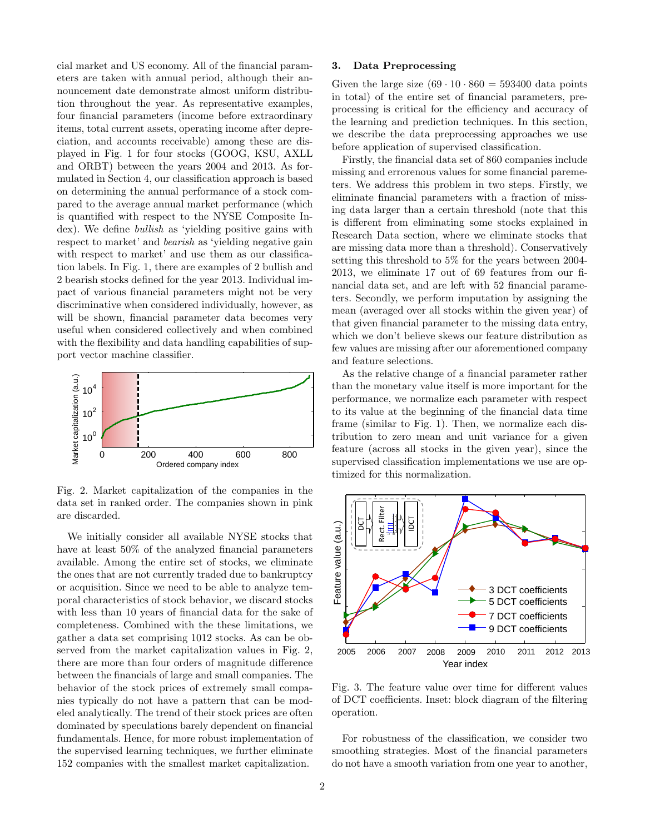cial market and US economy. All of the financial parameters are taken with annual period, although their announcement date demonstrate almost uniform distribution throughout the year. As representative examples, four financial parameters (income before extraordinary items, total current assets, operating income after depreciation, and accounts receivable) among these are displayed in Fig. 1 for four stocks (GOOG, KSU, AXLL and ORBT) between the years 2004 and 2013. As formulated in Section 4, our classification approach is based on determining the annual performance of a stock compared to the average annual market performance (which is quantified with respect to the NYSE Composite Index). We define *bullish* as 'yielding positive gains with respect to market' and bearish as 'yielding negative gain with respect to market' and use them as our classification labels. In Fig. 1, there are examples of 2 bullish and 2 bearish stocks defined for the year 2013. Individual impact of various financial parameters might not be very discriminative when considered individually, however, as will be shown, financial parameter data becomes very useful when considered collectively and when combined with the flexibility and data handling capabilities of support vector machine classifier.



Fig. 2. Market capitalization of the companies in the data set in ranked order. The companies shown in pink are discarded.

We initially consider all available NYSE stocks that have at least 50% of the analyzed financial parameters available. Among the entire set of stocks, we eliminate the ones that are not currently traded due to bankruptcy or acquisition. Since we need to be able to analyze temporal characteristics of stock behavior, we discard stocks with less than 10 years of financial data for the sake of completeness. Combined with the these limitations, we gather a data set comprising 1012 stocks. As can be observed from the market capitalization values in Fig. 2, there are more than four orders of magnitude difference between the financials of large and small companies. The behavior of the stock prices of extremely small companies typically do not have a pattern that can be modeled analytically. The trend of their stock prices are often dominated by speculations barely dependent on financial fundamentals. Hence, for more robust implementation of the supervised learning techniques, we further eliminate 152 companies with the smallest market capitalization.

#### 3. Data Preprocessing

Given the large size  $(69 \cdot 10 \cdot 860 = 593400$  data points in total) of the entire set of financial parameters, preprocessing is critical for the efficiency and accuracy of the learning and prediction techniques. In this section, we describe the data preprocessing approaches we use before application of supervised classification.

Firstly, the financial data set of 860 companies include missing and errorenous values for some financial paremeters. We address this problem in two steps. Firstly, we eliminate financial parameters with a fraction of missing data larger than a certain threshold (note that this is different from eliminating some stocks explained in Research Data section, where we eliminate stocks that are missing data more than a threshold). Conservatively setting this threshold to 5% for the years between 2004- 2013, we eliminate 17 out of 69 features from our financial data set, and are left with 52 financial parameters. Secondly, we perform imputation by assigning the mean (averaged over all stocks within the given year) of that given financial parameter to the missing data entry, which we don't believe skews our feature distribution as few values are missing after our aforementioned company and feature selections.

As the relative change of a financial parameter rather than the monetary value itself is more important for the performance, we normalize each parameter with respect to its value at the beginning of the financial data time frame (similar to Fig. 1). Then, we normalize each distribution to zero mean and unit variance for a given feature (across all stocks in the given year), since the supervised classification implementations we use are optimized for this normalization.



Fig. 3. The feature value over time for different values of DCT coefficients. Inset: block diagram of the filtering operation.

For robustness of the classification, we consider two smoothing strategies. Most of the financial parameters do not have a smooth variation from one year to another,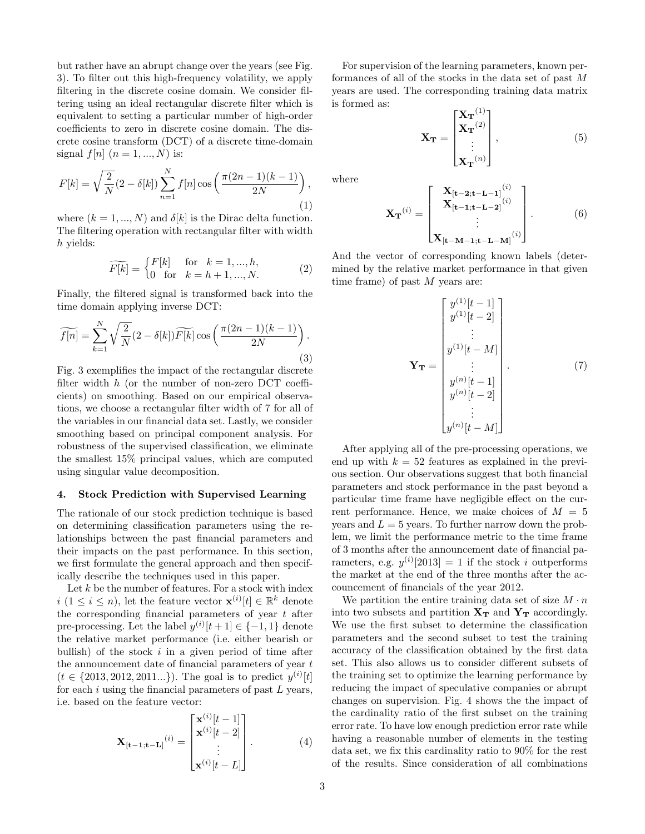but rather have an abrupt change over the years (see Fig. 3). To filter out this high-frequency volatility, we apply filtering in the discrete cosine domain. We consider filtering using an ideal rectangular discrete filter which is equivalent to setting a particular number of high-order coefficients to zero in discrete cosine domain. The discrete cosine transform (DCT) of a discrete time-domain signal  $f[n]$   $(n = 1, ..., N)$  is:

$$
F[k] = \sqrt{\frac{2}{N}} (2 - \delta[k]) \sum_{n=1}^{N} f[n] \cos\left(\frac{\pi(2n-1)(k-1)}{2N}\right),\tag{1}
$$

where  $(k = 1, ..., N)$  and  $\delta[k]$  is the Dirac delta function. The filtering operation with rectangular filter with width h yields:

$$
\widetilde{F[k]} = \begin{cases} F[k] & \text{for } k = 1, \dots, h, \\ 0 & \text{for } k = h+1, \dots, N. \end{cases} \tag{2}
$$

Finally, the filtered signal is transformed back into the time domain applying inverse DCT:

$$
\widetilde{f[n]} = \sum_{k=1}^{N} \sqrt{\frac{2}{N}} (2 - \delta[k]) \widetilde{F[k]} \cos\left(\frac{\pi(2n-1)(k-1)}{2N}\right).
$$
\n(3)

Fig. 3 exemplifies the impact of the rectangular discrete filter width  $h$  (or the number of non-zero DCT coefficients) on smoothing. Based on our empirical observations, we choose a rectangular filter width of 7 for all of the variables in our financial data set. Lastly, we consider smoothing based on principal component analysis. For robustness of the supervised classification, we eliminate the smallest 15% principal values, which are computed using singular value decomposition.

## 4. Stock Prediction with Supervised Learning

The rationale of our stock prediction technique is based on determining classification parameters using the relationships between the past financial parameters and their impacts on the past performance. In this section, we first formulate the general approach and then specifically describe the techniques used in this paper.

Let  $k$  be the number of features. For a stock with index  $i (1 \leq i \leq n)$ , let the feature vector  $\mathbf{x}^{(i)}[t] \in \mathbb{R}^k$  denote the corresponding financial parameters of year  $t$  after pre-processing. Let the label  $y^{(i)}[t+1] \in \{-1, 1\}$  denote the relative market performance (i.e. either bearish or bullish) of the stock  $i$  in a given period of time after the announcement date of financial parameters of year  $t$  $(t \in \{2013, 2012, 2011...\})$ . The goal is to predict  $y^{(i)}[t]$ for each  $i$  using the financial parameters of past  $L$  years, i.e. based on the feature vector:

$$
\mathbf{X}_{\left[\mathbf{t-1};\mathbf{t-L}\right]}^{(i)} = \begin{bmatrix} \mathbf{x}^{(i)}[t-1] \\ \mathbf{x}^{(i)}[t-2] \\ \vdots \\ \mathbf{x}^{(i)}[t-L] \end{bmatrix} . \tag{4}
$$

For supervision of the learning parameters, known performances of all of the stocks in the data set of past M years are used. The corresponding training data matrix is formed as:

$$
\mathbf{X}_{\mathbf{T}} = \begin{bmatrix} \mathbf{X}_{\mathbf{T}}^{(1)} \\ \mathbf{X}_{\mathbf{T}}^{(2)} \\ \vdots \\ \mathbf{X}_{\mathbf{T}}^{(n)} \end{bmatrix}, \tag{5}
$$

where

$$
\mathbf{X}_{\mathbf{T}}^{(i)} = \begin{bmatrix} \mathbf{X}_{[t-2;t-L-1]}^{(i)} \\ \mathbf{X}_{[t-1;t-L-2]}^{(i)} \\ \vdots \\ \mathbf{X}_{[t-M-1;t-L-M]}^{(i)} \end{bmatrix} .
$$
 (6)

And the vector of corresponding known labels (determined by the relative market performance in that given time frame) of past  $M$  years are:

$$
\mathbf{Y}_{\mathbf{T}} = \begin{bmatrix} y^{(1)}[t-1] \\ y^{(1)}[t-2] \\ \vdots \\ y^{(1)}[t-M] \\ \vdots \\ y^{(n)}[t-1] \\ y^{(n)}[t-2] \\ \vdots \\ y^{(n)}[t-M] \end{bmatrix} . \tag{7}
$$

After applying all of the pre-processing operations, we end up with  $k = 52$  features as explained in the previous section. Our observations suggest that both financial parameters and stock performance in the past beyond a particular time frame have negligible effect on the current performance. Hence, we make choices of  $M = 5$ years and  $L = 5$  years. To further narrow down the problem, we limit the performance metric to the time frame of 3 months after the announcement date of financial parameters, e.g.  $y^{(i)}[2013] = 1$  if the stock i outperforms the market at the end of the three months after the accouncement of financials of the year 2012.

We partition the entire training data set of size  $M \cdot n$ into two subsets and partition  $X_T$  and  $Y_T$  accordingly. We use the first subset to determine the classification parameters and the second subset to test the training accuracy of the classification obtained by the first data set. This also allows us to consider different subsets of the training set to optimize the learning performance by reducing the impact of speculative companies or abrupt changes on supervision. Fig. 4 shows the the impact of the cardinality ratio of the first subset on the training error rate. To have low enough prediction error rate while having a reasonable number of elements in the testing data set, we fix this cardinality ratio to 90% for the rest of the results. Since consideration of all combinations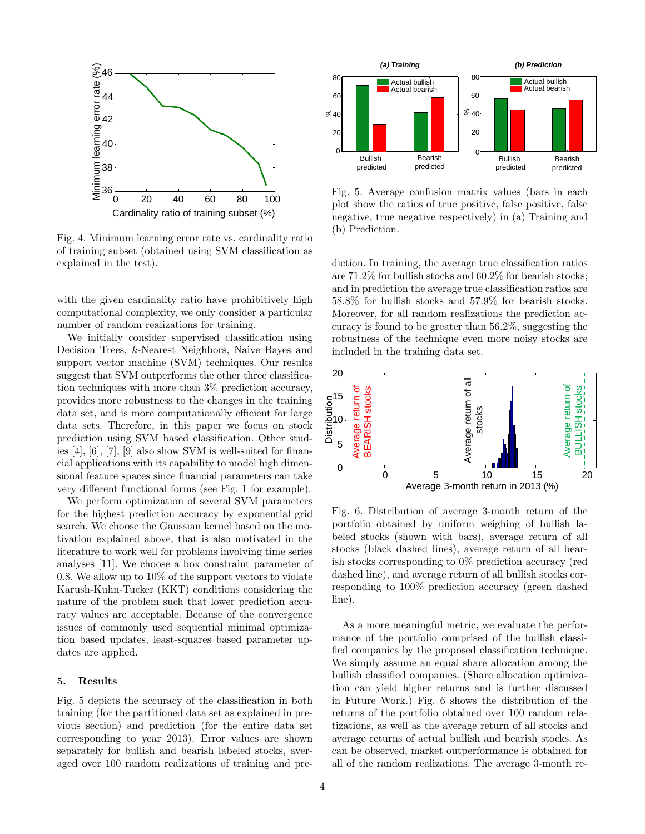

Fig. 4. Minimum learning error rate vs. cardinality ratio of training subset (obtained using SVM classification as explained in the test).

with the given cardinality ratio have prohibitively high computational complexity, we only consider a particular number of random realizations for training.

We initially consider supervised classification using Decision Trees, k-Nearest Neighbors, Naive Bayes and support vector machine (SVM) techniques. Our results suggest that SVM outperforms the other three classification techniques with more than 3% prediction accuracy, provides more robustness to the changes in the training data set, and is more computationally efficient for large data sets. Therefore, in this paper we focus on stock prediction using SVM based classification. Other studies [4], [6], [7], [9] also show SVM is well-suited for financial applications with its capability to model high dimensional feature spaces since financial parameters can take very different functional forms (see Fig. 1 for example). **Example 1**<br> **Example 20**<br> **Example 20**<br> **Example 20**<br> **Example 20**<br> **Example 20**<br> **Example 20**<br> **Example 20**<br> **Example 20**<br> **Example 20**<br> **Example 20**<br> **Example 20**<br> **Example 20**<br> **Example 20**<br> **Example 20**<br> **Example 20** 

We perform optimization of several SVM parameters for the highest prediction accuracy by exponential grid search. We choose the Gaussian kernel based on the motivation explained above, that is also motivated in the literature to work well for problems involving time series analyses [11]. We choose a box constraint parameter of 0.8. We allow up to 10% of the support vectors to violate Karush-Kuhn-Tucker (KKT) conditions considering the nature of the problem such that lower prediction accuracy values are acceptable. Because of the convergence issues of commonly used sequential minimal optimization based updates, least-squares based parameter updates are applied.

### 5. Results

Fig. 5 depicts the accuracy of the classification in both training (for the partitioned data set as explained in previous section) and prediction (for the entire data set corresponding to year 2013). Error values are shown separately for bullish and bearish labeled stocks, aver-



Fig. 5. Average confusion matrix values (bars in each plot show the ratios of true positive, false positive, false negative, true negative respectively) in (a) Training and (b) Prediction.

diction. In training, the average true classification ratios are 71.2% for bullish stocks and 60.2% for bearish stocks; and in prediction the average true classification ratios are 58.8% for bullish stocks and 57.9% for bearish stocks. Moreover, for all random realizations the prediction accuracy is found to be greater than 56.2%, suggesting the robustness of the technique even more noisy stocks are included in the training data set.



Fig. 6. Distribution of average 3-month return of the portfolio obtained by uniform weighing of bullish labeled stocks (shown with bars), average return of all stocks (black dashed lines), average return of all bearish stocks corresponding to 0% prediction accuracy (red dashed line), and average return of all bullish stocks corresponding to 100% prediction accuracy (green dashed line).

As a more meaningful metric, we evaluate the performance of the portfolio comprised of the bullish classified companies by the proposed classification technique. We simply assume an equal share allocation among the bullish classified companies. (Share allocation optimization can yield higher returns and is further discussed in Future Work.) Fig. 6 shows the distribution of the returns of the portfolio obtained over 100 random relatizations, as well as the average return of all stocks and average returns of actual bullish and bearish stocks. As can be observed, market outperformance is obtained for all of the random realizations. The average 3-month re-